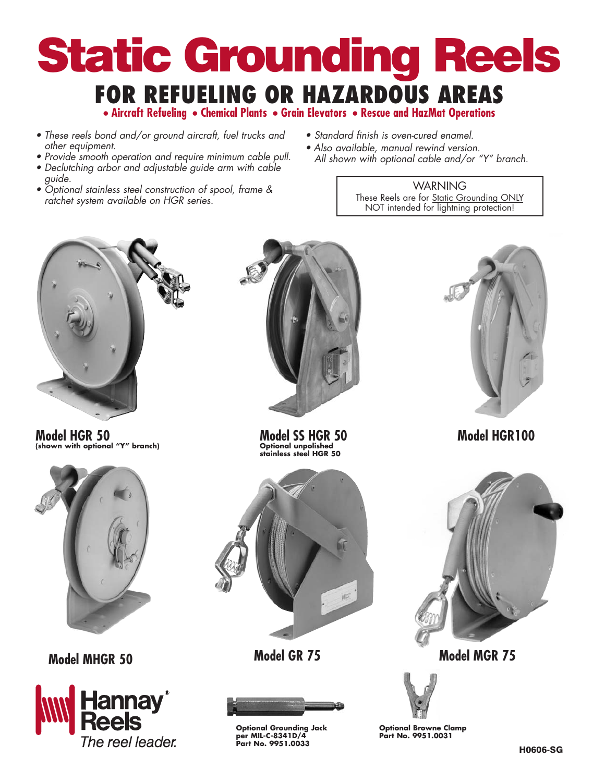# Static Grounding Reels **FOR REFUELING OR HAZARDOUS AREAS • Aircraft Refueling • Chemical Plants • Grain Elevators • Rescue and HazMat Operations**

- These reels bond and/or ground aircraft, fuel trucks and other equipment.
- Provide smooth operation and require minimum cable pull. • Declutching arbor and adjustable guide arm with cable
- guide. • Optional stainless steel construction of spool, frame & ratchet system available on HGR series.
- Standard finish is oven-cured enamel.
- Also available, manual rewind version. All shown with optional cable and/or "Y" branch.

**WARNING** These Reels are for **Static Grounding ONLY** NOT intended for lightning protection!



**Model HGR 50 (shown with optional "Y" branch)**







**Model SS HGR 50 Model HGR100 Optional unpolished stainless steel HGR 50**





**Optional Grounding Jack per MIL-C-8341D/4 Part No. 9951.0033**





**Model MHGR 50 Model GR 75 Model MGR 75**



**Optional Browne Clamp Part No. 9951.0031**